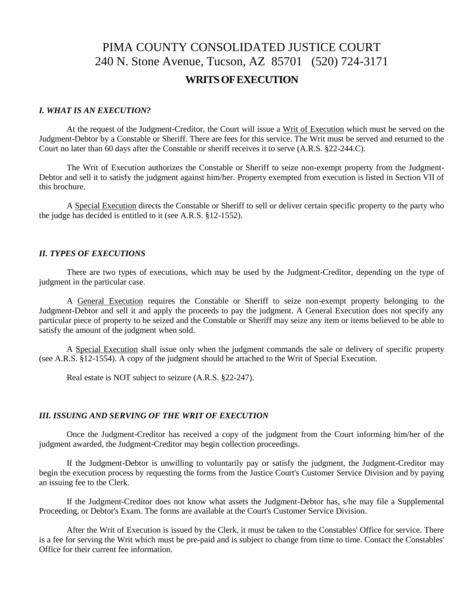# PIMA COUNTY CONSOLIDATED JUSTICE COURT 240 N. Stone Avenue, Tucson, AZ 85701 (520) 724-3171 **WRITSOFEXECUTION**

#### *I. WHAT IS AN EXECUTION?*

At the request of the Judgment-Creditor, the Court will issue a Writ of Execution which must be served on the Judgment-Debtor by a Constable or Sheriff. There are fees for this service. The Writ must be served and returned to the Court no later than 60 days after the Constable or sheriff receives it to serve (A.R.S. §22-244.C).

The Writ of Execution authorizes the Constable or Sheriff to seize non-exempt property from the Judgment-Debtor and sell it to satisfy the judgment against him/her. Property exempted from execution is listed in Section VII of this brochure.

A Special Execution directs the Constable or Sheriff to sell or deliver certain specific property to the party who the judge has decided is entitled to it (see A.R.S. §12-1552).

#### *II. TYPES OF EXECUTIONS*

There are two types of executions, which may be used by the Judgment-Creditor, depending on the type of judgment in the particular case.

A General Execution requires the Constable or Sheriff to seize non-exempt property belonging to the Judgment-Debtor and sell it and apply the proceeds to pay the judgment. A General Execution does not specify any particular piece of property to be seized and the Constable or Sheriff may seize any item or items believed to be able to satisfy the amount of the judgment when sold.

A Special Execution shall issue only when the judgment commands the sale or delivery of specific property (see A.R.S. §12-1554). A copy of the judgment should be attached to the Writ of Special Execution.

Real estate is NOT subject to seizure (A.R.S. §22-247).

#### *III. ISSUING AND SERVING OF THE WRIT OF EXECUTION*

Once the Judgment-Creditor has received a copy of the judgment from the Court informing him/her of the judgment awarded, the Judgment-Creditor may begin collection proceedings.

If the Judgment-Debtor is unwilling to voluntarily pay or satisfy the judgment, the Judgment-Creditor may begin the execution process by requesting the forms from the Justice Court's Customer Service Division and by paying an issuing fee to the Clerk.

If the Judgment-Creditor does not know what assets the Judgment-Debtor has, s/he may file a Supplemental Proceeding, or Debtor's Exam. The forms are available at the Court's Customer Service Division.

After the Writ of Execution is issued by the Clerk, it must be taken to the Constables' Office for service. There is a fee for serving the Writ which must be pre-paid and is subject to change from time to time. Contact the Constables' Office for their current fee information.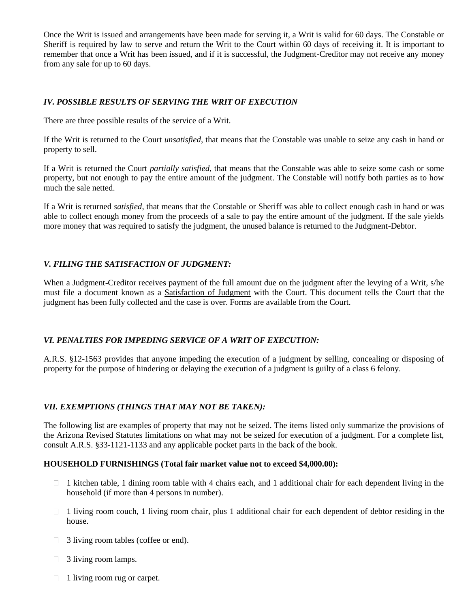Once the Writ is issued and arrangements have been made for serving it, a Writ is valid for 60 days. The Constable or Sheriff is required by law to serve and return the Writ to the Court within 60 days of receiving it. It is important to remember that once a Writ has been issued, and if it is successful, the Judgment-Creditor may not receive any money from any sale for up to 60 days.

## *IV. POSSIBLE RESULTS OF SERVING THE WRIT OF EXECUTION*

There are three possible results of the service of a Writ.

If the Writ is returned to the Court *unsatisfied*, that means that the Constable was unable to seize any cash in hand or property to sell.

If a Writ is returned the Court *partially satisfied*, that means that the Constable was able to seize some cash or some property, but not enough to pay the entire amount of the judgment. The Constable will notify both parties as to how much the sale netted.

If a Writ is returned *satisfied*, that means that the Constable or Sheriff was able to collect enough cash in hand or was able to collect enough money from the proceeds of a sale to pay the entire amount of the judgment. If the sale yields more money that was required to satisfy the judgment, the unused balance is returned to the Judgment-Debtor.

# *V. FILING THE SATISFACTION OF JUDGMENT:*

When a Judgment-Creditor receives payment of the full amount due on the judgment after the levying of a Writ, s/he must file a document known as a Satisfaction of Judgment with the Court. This document tells the Court that the judgment has been fully collected and the case is over. Forms are available from the Court.

### *VI. PENALTIES FOR IMPEDING SERVICE OF A WRIT OF EXECUTION:*

A.R.S. §12-1563 provides that anyone impeding the execution of a judgment by selling, concealing or disposing of property for the purpose of hindering or delaying the execution of a judgment is guilty of a class 6 felony.

### *VII. EXEMPTIONS (THINGS THAT MAY NOT BE TAKEN):*

The following list are examples of property that may not be seized. The items listed only summarize the provisions of the Arizona Revised Statutes limitations on what may not be seized for execution of a judgment. For a complete list, consult A.R.S. §33-1121-1133 and any applicable pocket parts in the back of the book.

#### **HOUSEHOLD FURNISHINGS (Total fair market value not to exceed \$4,000.00):**

- $\Box$  1 kitchen table, 1 dining room table with 4 chairs each, and 1 additional chair for each dependent living in the household (if more than 4 persons in number).
- $\Box$  1 living room couch, 1 living room chair, plus 1 additional chair for each dependent of debtor residing in the house.
- □ 3 living room tables (coffee or end).
- $\Box$  3 living room lamps.
- $\Box$  1 living room rug or carpet.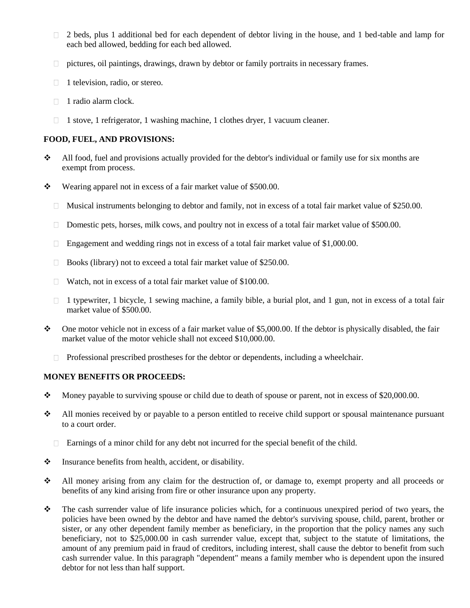- 2 beds, plus 1 additional bed for each dependent of debtor living in the house, and 1 bed-table and lamp for  $\Box$ each bed allowed, bedding for each bed allowed.
- pictures, oil paintings, drawings, drawn by debtor or family portraits in necessary frames.
- $\Box$  1 television, radio, or stereo.
- $\Box$  1 radio alarm clock.
- $\Box$  1 stove, 1 refrigerator, 1 washing machine, 1 clothes dryer, 1 vacuum cleaner.

## **FOOD, FUEL, AND PROVISIONS:**

- $\bullet$  All food, fuel and provisions actually provided for the debtor's individual or family use for six months are exempt from process.
- Wearing apparel not in excess of a fair market value of \$500.00.
	- $\Box$  Musical instruments belonging to debtor and family, not in excess of a total fair market value of \$250.00.
	- Domestic pets, horses, milk cows, and poultry not in excess of a total fair market value of \$500.00.
	- Engagement and wedding rings not in excess of a total fair market value of  $$1,000.00$ .
	- □ Books (library) not to exceed a total fair market value of \$250.00.
	- $\Box$  Watch, not in excess of a total fair market value of \$100.00.
	- $\Box$  1 typewriter, 1 bicycle, 1 sewing machine, a family bible, a burial plot, and 1 gun, not in excess of a total fair market value of \$500.00.
- $\bullet$  One motor vehicle not in excess of a fair market value of \$5,000.00. If the debtor is physically disabled, the fair market value of the motor vehicle shall not exceed \$10,000.00.
	- $\Box$  Professional prescribed prostheses for the debtor or dependents, including a wheelchair.

### **MONEY BENEFITS OR PROCEEDS:**

- Money payable to surviving spouse or child due to death of spouse or parent, not in excess of \$20,000.00.
- All monies received by or payable to a person entitled to receive child support or spousal maintenance pursuant to a court order.
	- Earnings of a minor child for any debt not incurred for the special benefit of the child.
- $\triangle$  Insurance benefits from health, accident, or disability.
- All money arising from any claim for the destruction of, or damage to, exempt property and all proceeds or benefits of any kind arising from fire or other insurance upon any property.
- The cash surrender value of life insurance policies which, for a continuous unexpired period of two years, the policies have been owned by the debtor and have named the debtor's surviving spouse, child, parent, brother or sister, or any other dependent family member as beneficiary, in the proportion that the policy names any such beneficiary, not to \$25,000.00 in cash surrender value, except that, subject to the statute of limitations, the amount of any premium paid in fraud of creditors, including interest, shall cause the debtor to benefit from such cash surrender value. In this paragraph "dependent" means a family member who is dependent upon the insured debtor for not less than half support.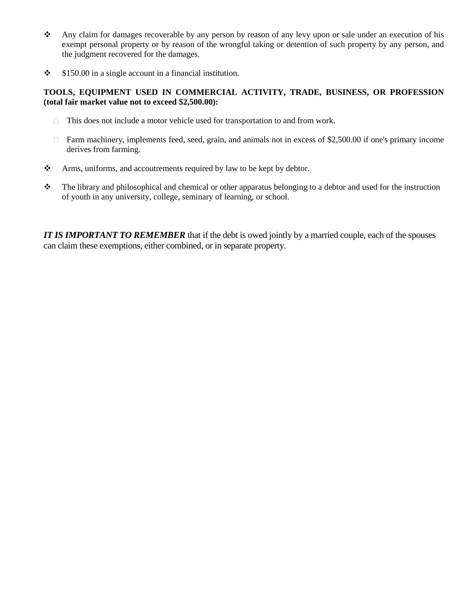- Any claim for damages recoverable by any person by reason of any levy upon or sale under an execution of his exempt personal property or by reason of the wrongful taking or detention of such property by any person, and the judgment recovered for the damages.
- $\div$  \$150.00 in a single account in a financial institution.

## **TOOLS, EQUIPMENT USED IN COMMERCIAL ACTIVITY, TRADE, BUSINESS, OR PROFESSION (total fair market value not to exceed \$2,500.00):**

- $\Box$  This does not include a motor vehicle used for transportation to and from work.
- $\Box$  Farm machinery, implements feed, seed, grain, and animals not in excess of \$2,500.00 if one's primary income derives from farming.
- Arms, uniforms, and accoutrements required by law to be kept by debtor.
- $\bullet$  The library and philosophical and chemical or other apparatus belonging to a debtor and used for the instruction of youth in any university, college, seminary of learning, or school.

*IT IS IMPORTANT TO REMEMBER* that if the debt is owed jointly by a married couple, each of the spouses can claim these exemptions, either combined, or in separate property.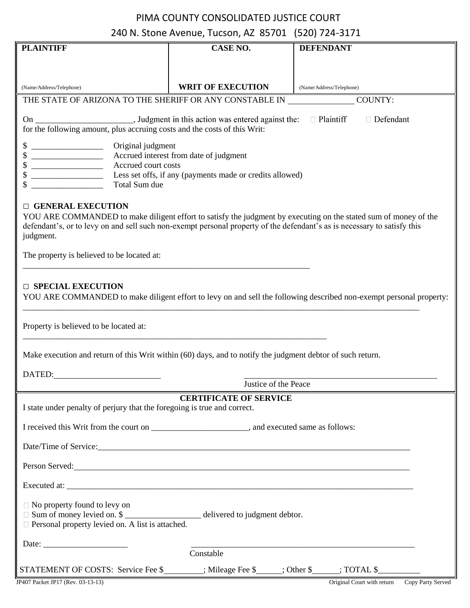# PIMA COUNTY CONSOLIDATED JUSTICE COURT 240 N. Stone Avenue, Tucson, AZ 85701 (520) 724-3171

| <b>PLAINTIFF</b>                                                                                                                                                                                                                                                                                                    | CASE NO.                 | <b>DEFENDANT</b>         |  |  |  |
|---------------------------------------------------------------------------------------------------------------------------------------------------------------------------------------------------------------------------------------------------------------------------------------------------------------------|--------------------------|--------------------------|--|--|--|
|                                                                                                                                                                                                                                                                                                                     |                          |                          |  |  |  |
|                                                                                                                                                                                                                                                                                                                     |                          |                          |  |  |  |
| (Name/Address/Telephone)                                                                                                                                                                                                                                                                                            | <b>WRIT OF EXECUTION</b> | (Name/Address/Telephone) |  |  |  |
| THE STATE OF ARIZONA TO THE SHERIFF OR ANY CONSTABLE IN                                                                                                                                                                                                                                                             |                          | COUNTY:                  |  |  |  |
| $\Box$ Plaintiff<br>□ Defendant<br>for the following amount, plus accruing costs and the costs of this Writ:                                                                                                                                                                                                        |                          |                          |  |  |  |
| Original judgment<br>Accrued interest from date of judgment<br>Accrued court costs<br>Less set offs, if any (payments made or credits allowed)<br>Total Sum due                                                                                                                                                     |                          |                          |  |  |  |
| <b>DENERAL EXECUTION</b><br>YOU ARE COMMANDED to make diligent effort to satisfy the judgment by executing on the stated sum of money of the<br>defendant's, or to levy on and sell such non-exempt personal property of the defendant's as is necessary to satisfy this<br>judgment.                               |                          |                          |  |  |  |
| The property is believed to be located at:                                                                                                                                                                                                                                                                          |                          |                          |  |  |  |
| <b>D</b> SPECIAL EXECUTION<br>YOU ARE COMMANDED to make diligent effort to levy on and sell the following described non-exempt personal property:<br>Property is believed to be located at:<br>Make execution and return of this Writ within (60) days, and to notify the judgment debtor of such return.<br>DATED: |                          |                          |  |  |  |
|                                                                                                                                                                                                                                                                                                                     | Justice of the Peace     |                          |  |  |  |
| <b>CERTIFICATE OF SERVICE</b><br>I state under penalty of perjury that the foregoing is true and correct.                                                                                                                                                                                                           |                          |                          |  |  |  |
| I received this Writ from the court on ____________________________, and executed same as follows:                                                                                                                                                                                                                  |                          |                          |  |  |  |
|                                                                                                                                                                                                                                                                                                                     |                          |                          |  |  |  |
| Person Served:                                                                                                                                                                                                                                                                                                      |                          |                          |  |  |  |
|                                                                                                                                                                                                                                                                                                                     |                          |                          |  |  |  |
| $\Box$ No property found to levy on<br>$\Box$ Sum of money levied on. \$ ______________________ delivered to judgment debtor.<br>$\Box$ Personal property levied on. A list is attached.                                                                                                                            |                          |                          |  |  |  |
| Constable                                                                                                                                                                                                                                                                                                           |                          |                          |  |  |  |
| STATEMENT OF COSTS: Service Fee \$_______; Mileage Fee \$____; Other \$____; TOTAL \$________                                                                                                                                                                                                                       |                          |                          |  |  |  |